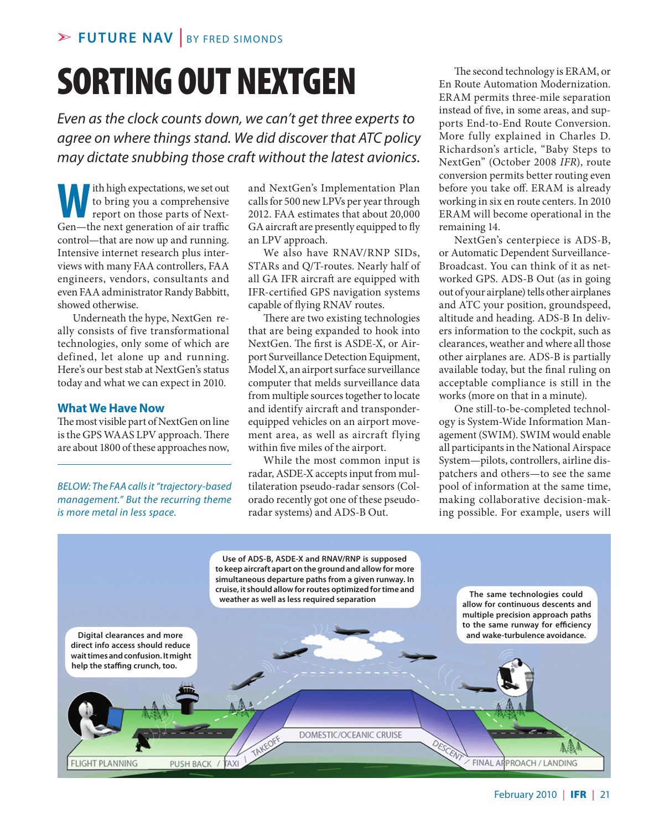# sorting out NextGen

*Even as the clock counts down, we can't get three experts to agree on where things stand. We did discover that ATC policy may dictate snubbing those craft without the latest avionics.*

Ith high expectations, we set out<br>to bring you a comprehensive<br>report on those parts of Next-<br>Gen—the next generation of air traffic to bring you a comprehensive report on those parts of Next-Gen—the next generation of air traffic control—that are now up and running. Intensive internet research plus interviews with many FAA controllers, FAA engineers, vendors, consultants and even FAA administrator Randy Babbitt, showed otherwise.

Underneath the hype, NextGen really consists of five transformational technologies, only some of which are defined, let alone up and running. Here's our best stab at NextGen's status today and what we can expect in 2010.

#### **What We Have Now**

The most visible part of NextGen on line is the GPS WAAS LPV approach. There are about 1800 of these approaches now,

*Below: The FAA calls it "trajectory-based management." But the recurring theme is more metal in less space.* 

and NextGen's Implementation Plan calls for 500 new LPVs per year through 2012. FAA estimates that about 20,000 GA aircraft are presently equipped to fly an LPV approach.

We also have RNAV/RNP SIDs, STARs and Q/T-routes. Nearly half of all GA IFR aircraft are equipped with IFR-certified GPS navigation systems capable of flying RNAV routes.

There are two existing technologies that are being expanded to hook into NextGen. The first is ASDE-X, or Airport Surveillance Detection Equipment, Model X, an airport surface surveillance computer that melds surveillance data from multiple sources together to locate and identify aircraft and transponderequipped vehicles on an airport movement area, as well as aircraft flying within five miles of the airport.

While the most common input is radar, ASDE-X accepts input from multilateration pseudo-radar sensors (Colorado recently got one of these pseudoradar systems) and ADS-B Out.

The second technology is ERAM, or En Route Automation Modernization. ERAM permits three-mile separation instead of five, in some areas, and supports End-to-End Route Conversion. More fully explained in Charles D. Richardson's article, "Baby Steps to NextGen" (October 2008 *IFR*), route conversion permits better routing even before you take off. ERAM is already working in six en route centers. In 2010 ERAM will become operational in the remaining 14.

NextGen's centerpiece is ADS-B, or Automatic Dependent Surveillance-Broadcast. You can think of it as networked GPS. ADS-B Out (as in going out of your airplane) tells other airplanes and ATC your position, groundspeed, altitude and heading. ADS-B In delivers information to the cockpit, such as clearances, weather and where all those other airplanes are. ADS-B is partially available today, but the final ruling on acceptable compliance is still in the works (more on that in a minute).

One still-to-be-completed technology is System-Wide Information Management (SWIM). SWIM would enable all participants in the National Airspace System—pilots, controllers, airline dispatchers and others—to see the same pool of information at the same time, making collaborative decision-making possible. For example, users will

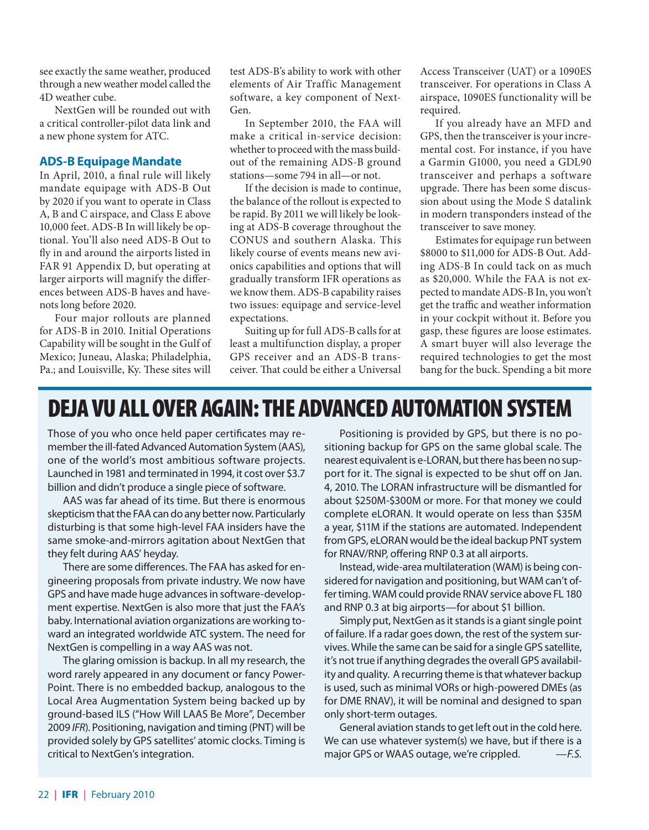see exactly the same weather, produced through a new weather model called the 4D weather cube.

NextGen will be rounded out with a critical controller-pilot data link and a new phone system for ATC.

### **ADS-B Equipage Mandate**

In April, 2010, a final rule will likely mandate equipage with ADS-B Out by 2020 if you want to operate in Class A, B and C airspace, and Class E above 10,000 feet. ADS-B In will likely be optional. You'll also need ADS-B Out to fly in and around the airports listed in FAR 91 Appendix D, but operating at larger airports will magnify the differences between ADS-B haves and havenots long before 2020.

Four major rollouts are planned for ADS-B in 2010. Initial Operations Capability will be sought in the Gulf of Mexico; Juneau, Alaska; Philadelphia, Pa.; and Louisville, Ky. These sites will

test ADS-B's ability to work with other elements of Air Traffic Management software, a key component of Next-Gen.

In September 2010, the FAA will make a critical in-service decision: whether to proceed with the mass buildout of the remaining ADS-B ground stations—some 794 in all—or not.

If the decision is made to continue, the balance of the rollout is expected to be rapid. By 2011 we will likely be looking at ADS-B coverage throughout the CONUS and southern Alaska. This likely course of events means new avionics capabilities and options that will gradually transform IFR operations as we know them. ADS-B capability raises two issues: equipage and service-level expectations.

Suiting up for full ADS-B calls for at least a multifunction display, a proper GPS receiver and an ADS-B transceiver. That could be either a Universal

Access Transceiver (UAT) or a 1090ES transceiver. For operations in Class A airspace, 1090ES functionality will be required.

If you already have an MFD and GPS, then the transceiver is your incremental cost. For instance, if you have a Garmin G1000, you need a GDL90 transceiver and perhaps a software upgrade. There has been some discussion about using the Mode S datalink in modern transponders instead of the transceiver to save money.

Estimates for equipage run between \$8000 to \$11,000 for ADS-B Out. Adding ADS-B In could tack on as much as \$20,000. While the FAA is not expected to mandate ADS-B In, you won't get the traffic and weather information in your cockpit without it. Before you gasp, these figures are loose estimates. A smart buyer will also leverage the required technologies to get the most bang for the buck. Spending a bit more

# DEJA VU ALL OVER AGAIN: THE ADVANCED AUTOMATION SYSTEM

Those of you who once held paper certificates may remember the ill-fated Advanced Automation System (AAS), one of the world's most ambitious software projects. Launched in 1981 and terminated in 1994, it cost over \$3.7 billion and didn't produce a single piece of software.

AAS was far ahead of its time. But there is enormous skepticism that the FAA can do any better now. Particularly disturbing is that some high-level FAA insiders have the same smoke-and-mirrors agitation about NextGen that they felt during AAS' heyday.

There are some differences. The FAA has asked for engineering proposals from private industry. We now have GPS and have made huge advances in software-development expertise. NextGen is also more that just the FAA's baby. International aviation organizations are working toward an integrated worldwide ATC system. The need for NextGen is compelling in a way AAS was not.

The glaring omission is backup. In all my research, the word rarely appeared in any document or fancy Power-Point. There is no embedded backup, analogous to the Local Area Augmentation System being backed up by ground-based ILS ("How Will LAAS Be More", December 2009 *IFR*). Positioning, navigation and timing (PNT) will be provided solely by GPS satellites' atomic clocks. Timing is critical to NextGen's integration.

Positioning is provided by GPS, but there is no positioning backup for GPS on the same global scale. The nearest equivalent is e-LORAN, but there has been no support for it. The signal is expected to be shut off on Jan. 4, 2010. The LORAN infrastructure will be dismantled for about \$250M-\$300M or more. For that money we could complete eLORAN. It would operate on less than \$35M a year, \$11M if the stations are automated. Independent from GPS, eLORAN would be the ideal backup PNT system for RNAV/RNP, offering RNP 0.3 at all airports.

Instead, wide-area multilateration (WAM) is being considered for navigation and positioning, but WAM can't offer timing. WAM could provide RNAV service above FL 180 and RNP 0.3 at big airports—for about \$1 billion.

Simply put, NextGen as it stands is a giant single point of failure. If a radar goes down, the rest of the system survives. While the same can be said for a single GPS satellite, it's not true if anything degrades the overall GPS availability and quality. A recurring theme is that whatever backup is used, such as minimal VORs or high-powered DMEs (as for DME RNAV), it will be nominal and designed to span only short-term outages.

General aviation stands to get left out in the cold here. We can use whatever system(s) we have, but if there is a major GPS or WAAS outage, we're crippled. —*F.S.*